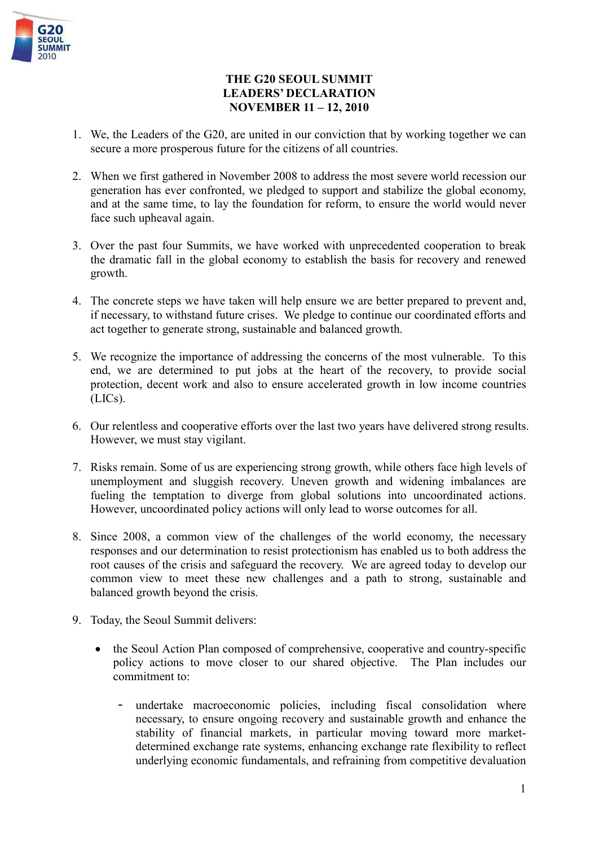

## **THE G20 SEOUL SUMMIT LEADERS' DECLARATION NOVEMBER 11 – 12, 2010**

- 1. We, the Leaders of the G20, are united in our conviction that by working together we can secure a more prosperous future for the citizens of all countries.
- 2. When we first gathered in November 2008 to address the most severe world recession our generation has ever confronted, we pledged to support and stabilize the global economy, and at the same time, to lay the foundation for reform, to ensure the world would never face such upheaval again.<br>
3. Over the past four Summits, we have worked with unprecedented cooperation to break
- the dramatic fall in the global economy to establish the basis for recovery and renewed growth.
- 4. The concrete steps we have taken will help ensure we are better prepared to prevent and, if necessary, to withstand future crises. We pledge to continue our coordinated efforts and act together to generate strong, sustainable and balanced growth.
- 5. We recognize the importance of addressing the concerns of the most vulnerable. To this end, we are determined to put jobs at the heart of the recovery, to provide social protection, decent work and also to ensure accelerated growth in low income countries (LICs). 6. Our relentless and cooperative efforts over the last two years have delivered strong results.
- However, we must stay vigilant.<br>
7. Risks remain. Some of us are experiencing strong growth, while others face high levels of
- unemployment and sluggish recovery. Uneven growth and widening imbalances are fueling the temptation to diverge from global solutions into uncoordinated actions. However, uncoordinated policy actions will only lead to worse outcomes for all.<br>8. Since 2008, a common view of the challenges of the world economy, the necessary
- responses and our determination to resist protectionism has enabled us to both address the root causes of the crisis and safeguard the recovery. We are agreed today to develop our common view to meet these new challenges and a path to strong, sustainable and balanced growth beyond the crisis.
- 9. Today, the Seoul Summit delivers:
	- the Seoul Action Plan composed of comprehensive, cooperative and country-specific policy actions to move closer to our shared objective. The Plan includes our commitment to:
		- undertake macroeconomic policies, including fiscal consolidation where necessary, to ensure ongoing recovery and sustainable growth and enhance the stability of financial markets, in particular moving toward more market determined exchange rate systems, enhancing exchange rate flexibility to reflect underlying economic fundamentals, and refraining from competitive devaluation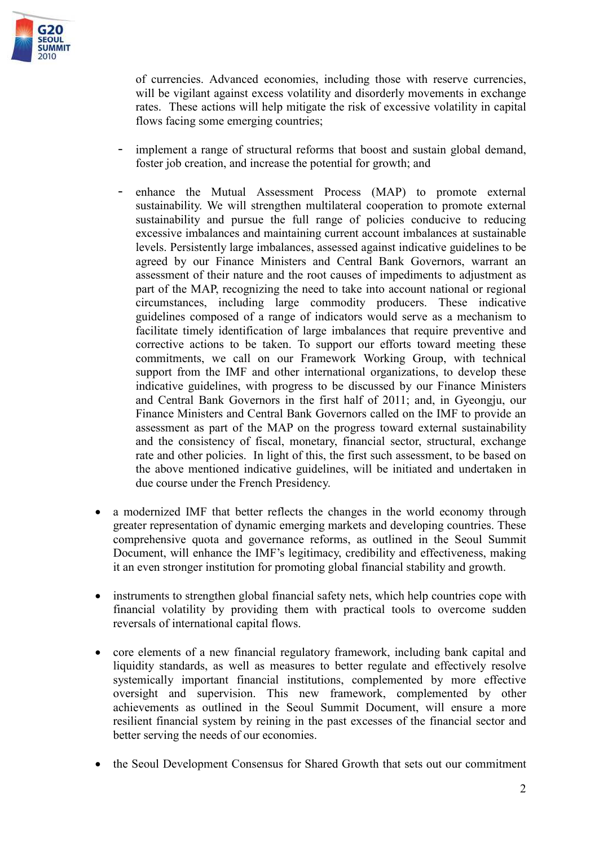

of currencies. Advanced economies, including those with reserve currencies, will be vigilant against excess volatility and disorderly movements in exchange rates. These actions will help mitigate the risk of excessive volatility in capital flows facing some emerging countries;

- implement a range of structural reforms that boost and sustain global demand, foster job creation, and increase the potential for growth; and
- enhance the Mutual Assessment Process (MAP) to promote external sustainability. We will strengthen multilateral cooperation to promote external sustainability and pursue the full range of policies conducive to reducing excessive imbalances and maintaining current account imbalances at sustainable levels. Persistently large imbalances, assessed against indicative guidelines to be agreed by our Finance Ministers and Central Bank Governors, warrant an assessment of their nature and the root causes of impediments to adjustment as part of the MAP, recognizing the need to take into account national or regional circumstances, including large commodity producers. These indicative guidelines composed of a range of indicators would serve as a mechanism to facilitate timely identification of large imbalances that require preventive and corrective actions to be taken. To support our efforts toward meeting these commitments, we call on our Framework Working Group, with technical support from the IMF and other international organizations, to develop these indicative guidelines, with progress to be discussed by our Finance Ministers and Central Bank Governors in the first half of 2011; and, in Gyeongju, our Finance Ministers and Central Bank Governors called on the IMF to provide an assessment as part of the MAP on the progress toward external sustainability and the consistency of fiscal, monetary, financial sector, structural, exchange rate and other policies. In light of this, the first such assessment, to be based on the above mentioned indicative guidelines, will be initiated and undertaken in due course under the French Presidency.
- a modernized IMF that better reflects the changes in the world economy through greater representation of dynamic emerging markets and developing countries. These comprehensive quota and governance reforms, as outlined in the Seoul Summit Document, will enhance the IMF's legitimacy, credibility and effectiveness, making it an even stronger institution for promoting global financial stability and growth.
- instruments to strengthen global financial safety nets, which help countries cope with financial volatility by providing them with practical tools to overcome sudden reversals of international capital flows.
- · core elements of a new financial regulatory framework, including bank capital and liquidity standards, as well as measures to better regulate and effectively resolve systemically important financial institutions, complemented by more effective oversight and supervision. This new framework, complemented by other achievements as outlined in the Seoul Summit Document, will ensure a more resilient financial system by reining in the past excesses of the financial sector and better serving the needs of our economies.
- · the Seoul Development Consensus for Shared Growth that sets out our commitment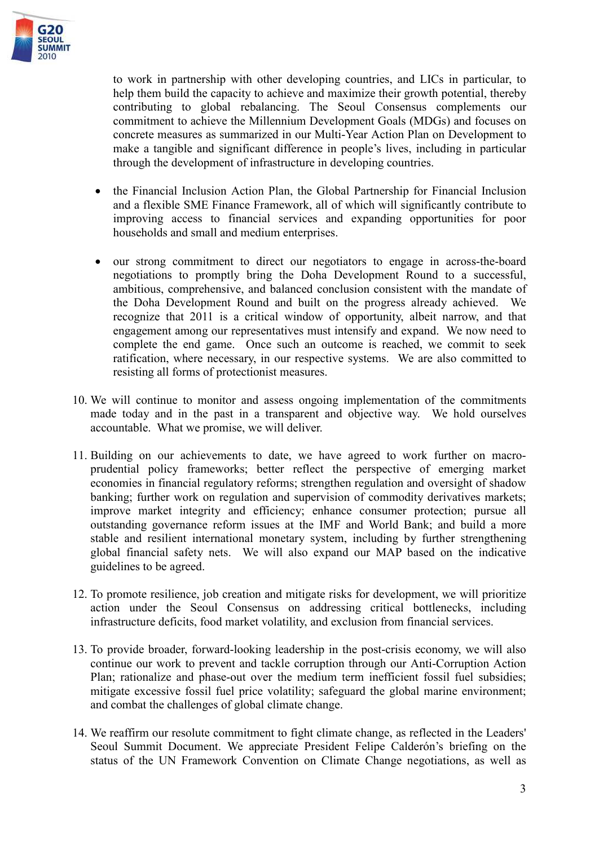

to work in partnership with other developing countries, and LICs in particular, to help them build the capacity to achieve and maximize their growth potential, thereby contributing to global rebalancing. The Seoul Consensus complements our commitment to achieve the Millennium Development Goals (MDGs) and focuses on concrete measures as summarized in our Multi-Year Action Plan on Development to make a tangible and significant difference in people's lives, including in particular through the development of infrastructure in developing countries.

- · the Financial Inclusion Action Plan, the Global Partnership for Financial Inclusion and a flexible SME Finance Framework, all of which will significantly contribute to improving access to financial services and expanding opportunities for poor households and small and medium enterprises.
- our strong commitment to direct our negotiators to engage in across-the-board negotiations to promptly bring the Doha Development Round to a successful, ambitious, comprehensive, and balanced conclusion consistent with the mandate of the Doha Development Round and built on the progress already achieved. We recognize that 2011 is a critical window of opportunity, albeit narrow, and that engagement among our representatives must intensify and expand. We now need to complete the end game. Once such an outcome is reached, we commit to seek ratification, where necessary, in our respective systems. We are also committed to resisting all forms of protectionist measures.
- 10. We will continue to monitor and assess ongoing implementation of the commitments made today and in the past in a transparent and objective way. We hold ourselves accountable. What we promise, we will deliver.
- 11. Building on our achievements to date, we have agreed to work further on macro prudential policy frameworks; better reflect the perspective of emerging market economies in financial regulatory reforms; strengthen regulation and oversight of shadow banking; further work on regulation and supervision of commodity derivatives markets; improve market integrity and efficiency; enhance consumer protection; pursue all outstanding governance reform issues at the IMF and World Bank; and build a more stable and resilient international monetary system, including by further strengthening global financial safety nets. We will also expand our MAP based on the indicative guidelines to be agreed.
- 12. To promote resilience, job creation and mitigate risks for development, we will prioritize action under the Seoul Consensus on addressing critical bottlenecks, including infrastructure deficits, food market volatility, and exclusion from financial services.
- 13. To provide broader, forward-looking leadership in the post-crisis economy, we will also continue our work to prevent and tackle corruption through our Anti-Corruption Action Plan; rationalize and phase-out over the medium term inefficient fossil fuel subsidies; mitigate excessive fossil fuel price volatility; safeguard the global marine environment; and combat the challenges of global climate change.
- 14. We reaffirm our resolute commitment to fight climate change, as reflected in the Leaders' Seoul Summit Document. We appreciate President Felipe Calderón's briefing on the status of the UN Framework Convention on Climate Change negotiations, as well as